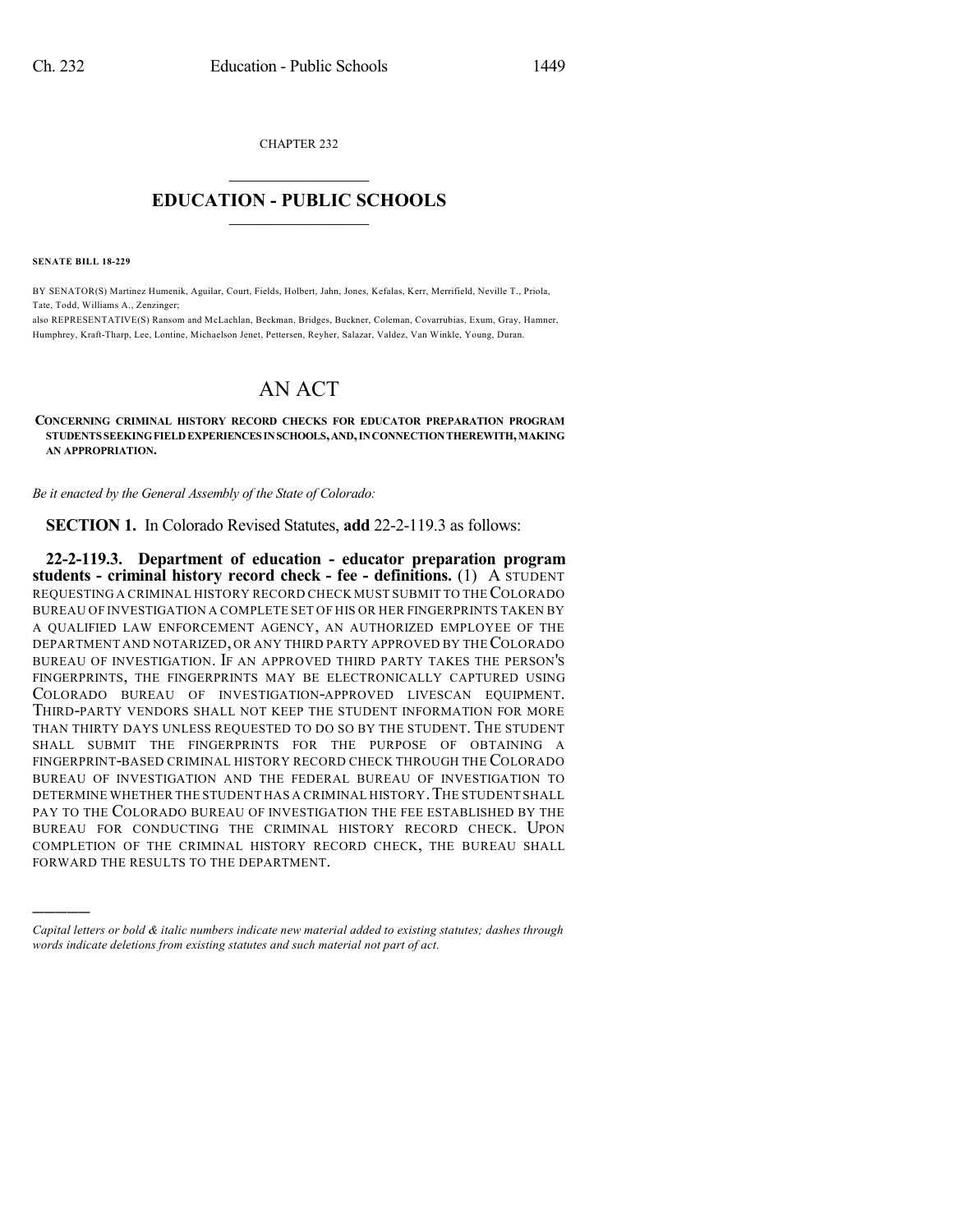CHAPTER 232  $\mathcal{L}_\text{max}$  . The set of the set of the set of the set of the set of the set of the set of the set of the set of the set of the set of the set of the set of the set of the set of the set of the set of the set of the set

## **EDUCATION - PUBLIC SCHOOLS**  $\_$   $\_$   $\_$   $\_$   $\_$   $\_$   $\_$   $\_$   $\_$

**SENATE BILL 18-229**

)))))

BY SENATOR(S) Martinez Humenik, Aguilar, Court, Fields, Holbert, Jahn, Jones, Kefalas, Kerr, Merrifield, Neville T., Priola, Tate, Todd, Williams A., Zenzinger;

also REPRESENTATIVE(S) Ransom and McLachlan, Beckman, Bridges, Buckner, Coleman, Covarrubias, Exum, Gray, Hamner, Humphrey, Kraft-Tharp, Lee, Lontine, Michaelson Jenet, Pettersen, Reyher, Salazar, Valdez, Van Winkle, Young, Duran.

## AN ACT

**CONCERNING CRIMINAL HISTORY RECORD CHECKS FOR EDUCATOR PREPARATION PROGRAM STUDENTS SEEKINGFIELDEXPERIENCESINSCHOOLS,AND,INCONNECTIONTHEREWITH,MAKING AN APPROPRIATION.**

*Be it enacted by the General Assembly of the State of Colorado:*

**SECTION 1.** In Colorado Revised Statutes, **add** 22-2-119.3 as follows:

**22-2-119.3. Department of education - educator preparation program students - criminal history record check - fee - definitions.** (1) A STUDENT REQUESTING A CRIMINAL HISTORY RECORD CHECK MUST SUBMIT TO THECOLORADO BUREAU OF INVESTIGATION A COMPLETE SET OF HIS OR HER FINGERPRINTS TAKEN BY A QUALIFIED LAW ENFORCEMENT AGENCY, AN AUTHORIZED EMPLOYEE OF THE DEPARTMENT AND NOTARIZED, OR ANY THIRD PARTY APPROVED BY THECOLORADO BUREAU OF INVESTIGATION. IF AN APPROVED THIRD PARTY TAKES THE PERSON'S FINGERPRINTS, THE FINGERPRINTS MAY BE ELECTRONICALLY CAPTURED USING COLORADO BUREAU OF INVESTIGATION-APPROVED LIVESCAN EQUIPMENT. THIRD-PARTY VENDORS SHALL NOT KEEP THE STUDENT INFORMATION FOR MORE THAN THIRTY DAYS UNLESS REQUESTED TO DO SO BY THE STUDENT. THE STUDENT SHALL SUBMIT THE FINGERPRINTS FOR THE PURPOSE OF OBTAINING A FINGERPRINT-BASED CRIMINAL HISTORY RECORD CHECK THROUGH THE COLORADO BUREAU OF INVESTIGATION AND THE FEDERAL BUREAU OF INVESTIGATION TO DETERMINE WHETHER THE STUDENT HAS A CRIMINAL HISTORY. THE STUDENT SHALL PAY TO THE COLORADO BUREAU OF INVESTIGATION THE FEE ESTABLISHED BY THE BUREAU FOR CONDUCTING THE CRIMINAL HISTORY RECORD CHECK. UPON COMPLETION OF THE CRIMINAL HISTORY RECORD CHECK, THE BUREAU SHALL FORWARD THE RESULTS TO THE DEPARTMENT.

*Capital letters or bold & italic numbers indicate new material added to existing statutes; dashes through words indicate deletions from existing statutes and such material not part of act.*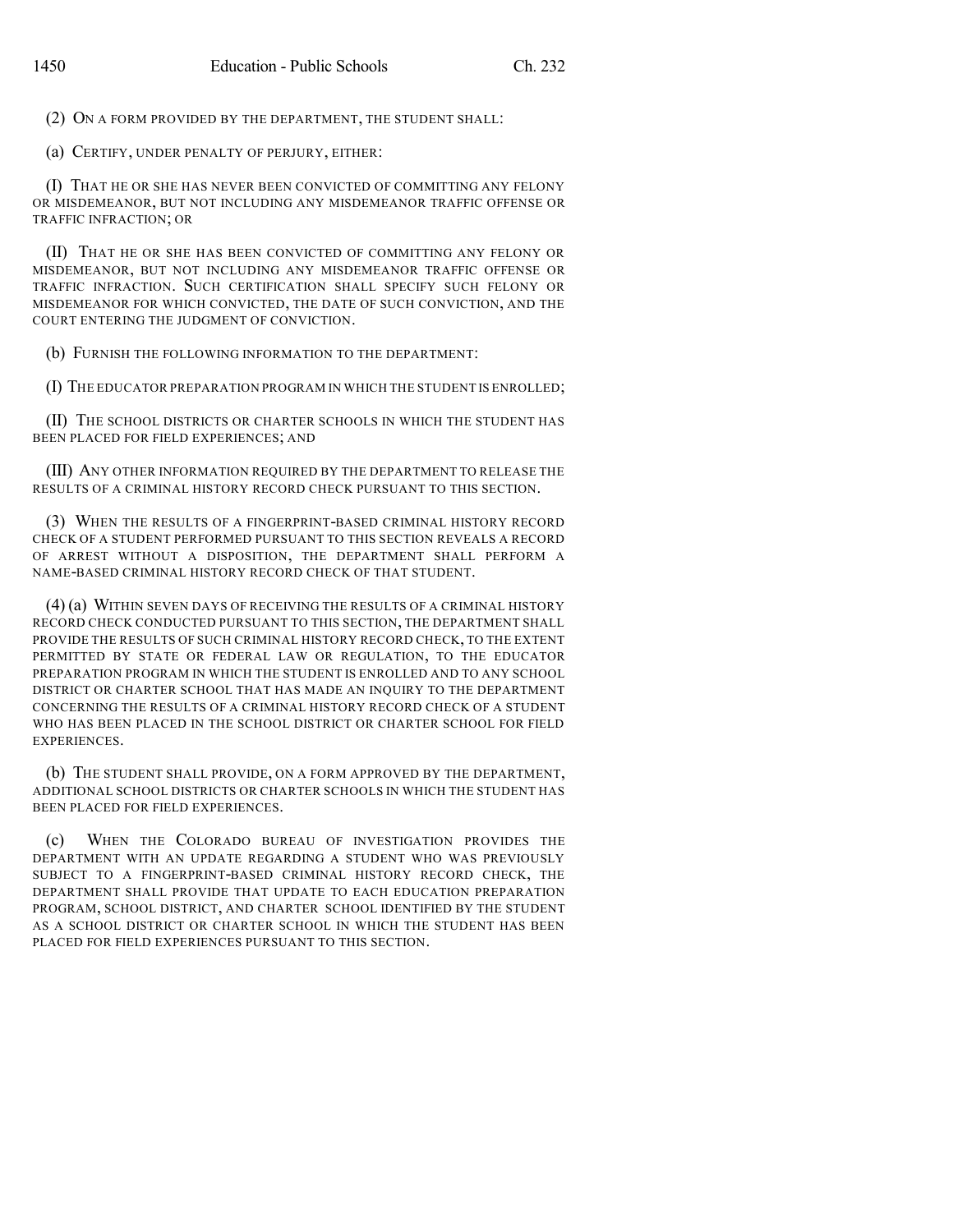(2) ON A FORM PROVIDED BY THE DEPARTMENT, THE STUDENT SHALL:

(a) CERTIFY, UNDER PENALTY OF PERJURY, EITHER:

(I) THAT HE OR SHE HAS NEVER BEEN CONVICTED OF COMMITTING ANY FELONY OR MISDEMEANOR, BUT NOT INCLUDING ANY MISDEMEANOR TRAFFIC OFFENSE OR TRAFFIC INFRACTION; OR

(II) THAT HE OR SHE HAS BEEN CONVICTED OF COMMITTING ANY FELONY OR MISDEMEANOR, BUT NOT INCLUDING ANY MISDEMEANOR TRAFFIC OFFENSE OR TRAFFIC INFRACTION. SUCH CERTIFICATION SHALL SPECIFY SUCH FELONY OR MISDEMEANOR FOR WHICH CONVICTED, THE DATE OF SUCH CONVICTION, AND THE COURT ENTERING THE JUDGMENT OF CONVICTION.

(b) FURNISH THE FOLLOWING INFORMATION TO THE DEPARTMENT:

(I) THE EDUCATOR PREPARATION PROGRAM IN WHICH THE STUDENT IS ENROLLED;

(II) THE SCHOOL DISTRICTS OR CHARTER SCHOOLS IN WHICH THE STUDENT HAS BEEN PLACED FOR FIELD EXPERIENCES; AND

(III) ANY OTHER INFORMATION REQUIRED BY THE DEPARTMENT TO RELEASE THE RESULTS OF A CRIMINAL HISTORY RECORD CHECK PURSUANT TO THIS SECTION.

(3) WHEN THE RESULTS OF A FINGERPRINT-BASED CRIMINAL HISTORY RECORD CHECK OF A STUDENT PERFORMED PURSUANT TO THIS SECTION REVEALS A RECORD OF ARREST WITHOUT A DISPOSITION, THE DEPARTMENT SHALL PERFORM A NAME-BASED CRIMINAL HISTORY RECORD CHECK OF THAT STUDENT.

(4) (a) WITHIN SEVEN DAYS OF RECEIVING THE RESULTS OF A CRIMINAL HISTORY RECORD CHECK CONDUCTED PURSUANT TO THIS SECTION, THE DEPARTMENT SHALL PROVIDE THE RESULTS OF SUCH CRIMINAL HISTORY RECORD CHECK, TO THE EXTENT PERMITTED BY STATE OR FEDERAL LAW OR REGULATION, TO THE EDUCATOR PREPARATION PROGRAM IN WHICH THE STUDENT IS ENROLLED AND TO ANY SCHOOL DISTRICT OR CHARTER SCHOOL THAT HAS MADE AN INQUIRY TO THE DEPARTMENT CONCERNING THE RESULTS OF A CRIMINAL HISTORY RECORD CHECK OF A STUDENT WHO HAS BEEN PLACED IN THE SCHOOL DISTRICT OR CHARTER SCHOOL FOR FIELD EXPERIENCES.

(b) THE STUDENT SHALL PROVIDE, ON A FORM APPROVED BY THE DEPARTMENT, ADDITIONAL SCHOOL DISTRICTS OR CHARTER SCHOOLS IN WHICH THE STUDENT HAS BEEN PLACED FOR FIELD EXPERIENCES.

(c) WHEN THE COLORADO BUREAU OF INVESTIGATION PROVIDES THE DEPARTMENT WITH AN UPDATE REGARDING A STUDENT WHO WAS PREVIOUSLY SUBJECT TO A FINGERPRINT-BASED CRIMINAL HISTORY RECORD CHECK, THE DEPARTMENT SHALL PROVIDE THAT UPDATE TO EACH EDUCATION PREPARATION PROGRAM, SCHOOL DISTRICT, AND CHARTER SCHOOL IDENTIFIED BY THE STUDENT AS A SCHOOL DISTRICT OR CHARTER SCHOOL IN WHICH THE STUDENT HAS BEEN PLACED FOR FIELD EXPERIENCES PURSUANT TO THIS SECTION.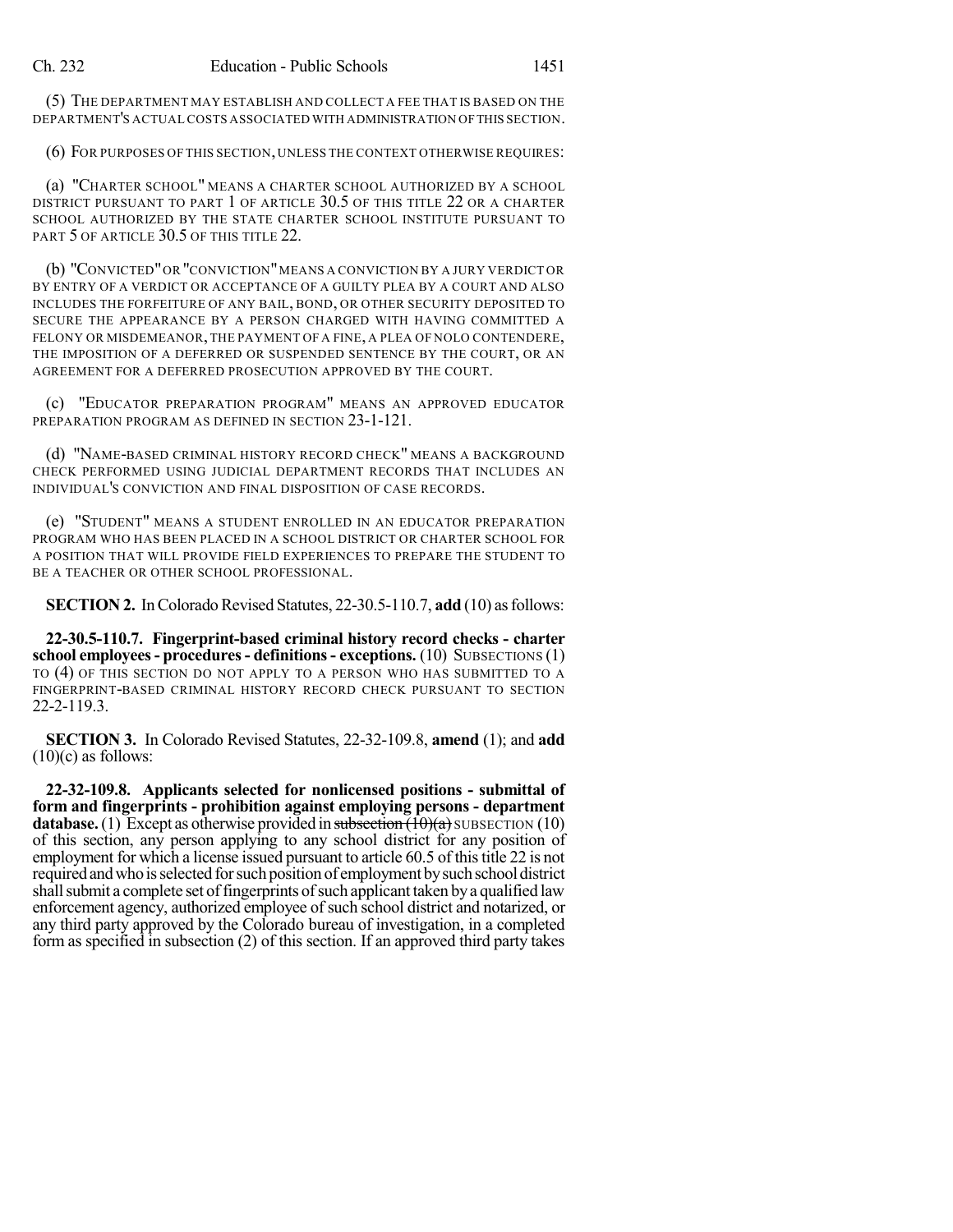(5) THE DEPARTMENT MAY ESTABLISH AND COLLECT A FEE THAT IS BASED ON THE DEPARTMENT'S ACTUAL COSTS ASSOCIATED WITH ADMINISTRATION OFTHIS SECTION.

(6) FOR PURPOSES OF THIS SECTION, UNLESS THE CONTEXT OTHERWISE REQUIRES:

(a) "CHARTER SCHOOL" MEANS A CHARTER SCHOOL AUTHORIZED BY A SCHOOL DISTRICT PURSUANT TO PART 1 OF ARTICLE 30.5 OF THIS TITLE 22 OR A CHARTER SCHOOL AUTHORIZED BY THE STATE CHARTER SCHOOL INSTITUTE PURSUANT TO PART 5 OF ARTICLE 30.5 OF THIS TITLE 22.

(b) "CONVICTED"OR "CONVICTION"MEANS A CONVICTION BY A JURY VERDICT OR BY ENTRY OF A VERDICT OR ACCEPTANCE OF A GUILTY PLEA BY A COURT AND ALSO INCLUDES THE FORFEITURE OF ANY BAIL, BOND, OR OTHER SECURITY DEPOSITED TO SECURE THE APPEARANCE BY A PERSON CHARGED WITH HAVING COMMITTED A FELONY OR MISDEMEANOR, THE PAYMENT OF A FINE, A PLEA OF NOLO CONTENDERE, THE IMPOSITION OF A DEFERRED OR SUSPENDED SENTENCE BY THE COURT, OR AN AGREEMENT FOR A DEFERRED PROSECUTION APPROVED BY THE COURT.

(c) "EDUCATOR PREPARATION PROGRAM" MEANS AN APPROVED EDUCATOR PREPARATION PROGRAM AS DEFINED IN SECTION 23-1-121.

(d) "NAME-BASED CRIMINAL HISTORY RECORD CHECK" MEANS A BACKGROUND CHECK PERFORMED USING JUDICIAL DEPARTMENT RECORDS THAT INCLUDES AN INDIVIDUAL'S CONVICTION AND FINAL DISPOSITION OF CASE RECORDS.

(e) "STUDENT" MEANS A STUDENT ENROLLED IN AN EDUCATOR PREPARATION PROGRAM WHO HAS BEEN PLACED IN A SCHOOL DISTRICT OR CHARTER SCHOOL FOR A POSITION THAT WILL PROVIDE FIELD EXPERIENCES TO PREPARE THE STUDENT TO BE A TEACHER OR OTHER SCHOOL PROFESSIONAL.

**SECTION 2.** In Colorado Revised Statutes, 22-30.5-110.7, **add** (10) as follows:

**22-30.5-110.7. Fingerprint-based criminal history record checks - charter school employees- procedures- definitions- exceptions.** (10) SUBSECTIONS (1) TO (4) OF THIS SECTION DO NOT APPLY TO A PERSON WHO HAS SUBMITTED TO A FINGERPRINT-BASED CRIMINAL HISTORY RECORD CHECK PURSUANT TO SECTION 22-2-119.3.

**SECTION 3.** In Colorado Revised Statutes, 22-32-109.8, **amend** (1); and **add**  $(10)(c)$  as follows:

**22-32-109.8. Applicants selected for nonlicensed positions - submittal of form and fingerprints - prohibition against employing persons - department database.** (1) Except as otherwise provided in subsection  $(10)(a)$  SUBSECTION (10) of this section, any person applying to any school district for any position of employment for which a license issued pursuant to article 60.5 of thistitle 22 is not requiredandwhoisselected forsuch position of employment bysuchschool district shall submit a complete set of fingerprints of such applicant taken by a qualified law enforcement agency, authorized employee of such school district and notarized, or any third party approved by the Colorado bureau of investigation, in a completed form as specified in subsection (2) of this section. If an approved third party takes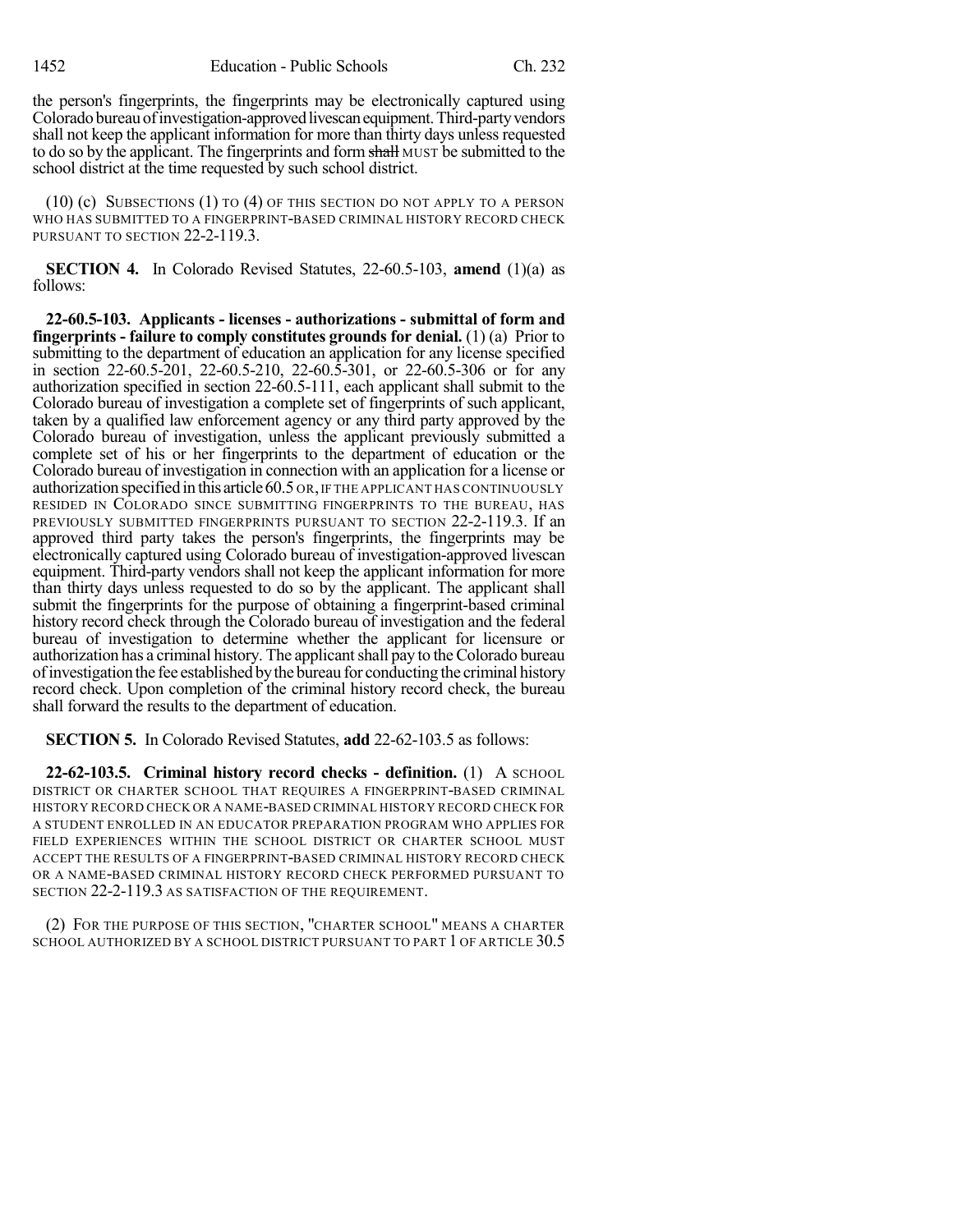the person's fingerprints, the fingerprints may be electronically captured using Colorado bureau of investigation-approved livescan equipment. Third-party vendors shall not keep the applicant information for more than thirty days unless requested to do so by the applicant. The fingerprints and form shall MUST be submitted to the school district at the time requested by such school district.

(10) (c) SUBSECTIONS (1) TO (4) OF THIS SECTION DO NOT APPLY TO A PERSON WHO HAS SUBMITTED TO A FINGERPRINT-BASED CRIMINAL HISTORY RECORD CHECK PURSUANT TO SECTION 22-2-119.3.

**SECTION 4.** In Colorado Revised Statutes, 22-60.5-103, **amend** (1)(a) as follows:

**22-60.5-103. Applicants - licenses - authorizations - submittal of form and fingerprints - failure to comply constitutes grounds for denial.** (1) (a) Prior to submitting to the department of education an application for any license specified in section 22-60.5-201, 22-60.5-210, 22-60.5-301, or 22-60.5-306 or for any authorization specified in section 22-60.5-111, each applicant shall submit to the Colorado bureau of investigation a complete set of fingerprints of such applicant, taken by a qualified law enforcement agency or any third party approved by the Colorado bureau of investigation, unless the applicant previously submitted a complete set of his or her fingerprints to the department of education or the Colorado bureau of investigation in connection with an application for a license or authorization specified in this article60.5 OR,IF THE APPLICANT HAS CONTINUOUSLY RESIDED IN COLORADO SINCE SUBMITTING FINGERPRINTS TO THE BUREAU, HAS PREVIOUSLY SUBMITTED FINGERPRINTS PURSUANT TO SECTION 22-2-119.3. If an approved third party takes the person's fingerprints, the fingerprints may be electronically captured using Colorado bureau of investigation-approved livescan equipment. Third-party vendors shall not keep the applicant information for more than thirty days unless requested to do so by the applicant. The applicant shall submit the fingerprints for the purpose of obtaining a fingerprint-based criminal history record check through the Colorado bureau of investigation and the federal bureau of investigation to determine whether the applicant for licensure or authorization has a criminal history. The applicantshall pay to theColorado bureau ofinvestigationthe fee established bythe bureau for conducting the criminal history record check. Upon completion of the criminal history record check, the bureau shall forward the results to the department of education.

**SECTION 5.** In Colorado Revised Statutes, **add** 22-62-103.5 as follows:

**22-62-103.5. Criminal history record checks - definition.** (1) A SCHOOL DISTRICT OR CHARTER SCHOOL THAT REQUIRES A FINGERPRINT-BASED CRIMINAL HISTORY RECORD CHECK OR A NAME-BASED CRIMINAL HISTORY RECORD CHECK FOR A STUDENT ENROLLED IN AN EDUCATOR PREPARATION PROGRAM WHO APPLIES FOR FIELD EXPERIENCES WITHIN THE SCHOOL DISTRICT OR CHARTER SCHOOL MUST ACCEPT THE RESULTS OF A FINGERPRINT-BASED CRIMINAL HISTORY RECORD CHECK OR A NAME-BASED CRIMINAL HISTORY RECORD CHECK PERFORMED PURSUANT TO SECTION 22-2-119.3 AS SATISFACTION OF THE REQUIREMENT.

(2) FOR THE PURPOSE OF THIS SECTION, "CHARTER SCHOOL" MEANS A CHARTER SCHOOL AUTHORIZED BY A SCHOOL DISTRICT PURSUANT TO PART 1 OF ARTICLE 30.5